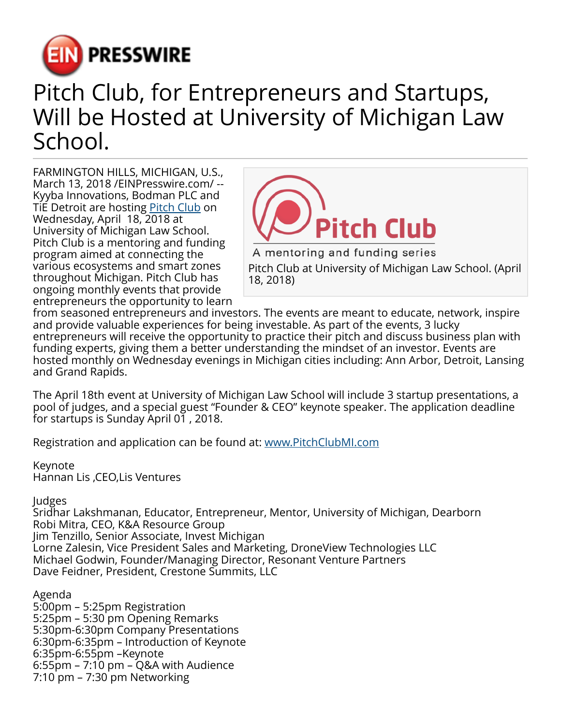

## Pitch Club, for Entrepreneurs and Startups, Will be Hosted at University of Michigan Law School.

FARMINGTON HILLS, MICHIGAN, U.S., March 13, 2018 /[EINPresswire.com](http://www.einpresswire.com)/ -- Kyyba Innovations, Bodman PLC and TiE Detroit are hosting **Pitch Club** on Wednesday, April 18, 2018 at University of Michigan Law School. Pitch Club is a mentoring and funding program aimed at connecting the various ecosystems and smart zones throughout Michigan. Pitch Club has ongoing monthly events that provide entrepreneurs the opportunity to learn



A mentoring and funding series Pitch Club at University of Michigan Law School. (April 18, 2018)

from seasoned entrepreneurs and investors. The events are meant to educate, network, inspire and provide valuable experiences for being investable. As part of the events, 3 lucky entrepreneurs will receive the opportunity to practice their pitch and discuss business plan with funding experts, giving them a better understanding the mindset of an investor. Events are hosted monthly on Wednesday evenings in Michigan cities including: Ann Arbor, Detroit, Lansing and Grand Rapids.

The April 18th event at University of Michigan Law School will include 3 startup presentations, a pool of judges, and a special guest "Founder & CEO" keynote speaker. The application deadline for startups is Sunday April 01 , 2018.

Registration and application can be found at: [www.PitchClubMI.com](http://www.PitchClubMI.com)

Keynote Hannan Lis ,CEO,Lis Ventures

Judges

Sridhar Lakshmanan, Educator, Entrepreneur, Mentor, University of Michigan, Dearborn Robi Mitra, CEO, K&A Resource Group Jim Tenzillo, Senior Associate, Invest Michigan Lorne Zalesin, Vice President Sales and Marketing, DroneView Technologies LLC Michael Godwin, Founder/Managing Director, Resonant Venture Partners Dave Feidner, President, Crestone Summits, LLC

Agenda

5:00pm – 5:25pm Registration 5:25pm – 5:30 pm Opening Remarks 5:30pm-6:30pm Company Presentations 6:30pm-6:35pm – Introduction of Keynote 6:35pm-6:55pm –Keynote 6:55pm – 7:10 pm – Q&A with Audience 7:10 pm – 7:30 pm Networking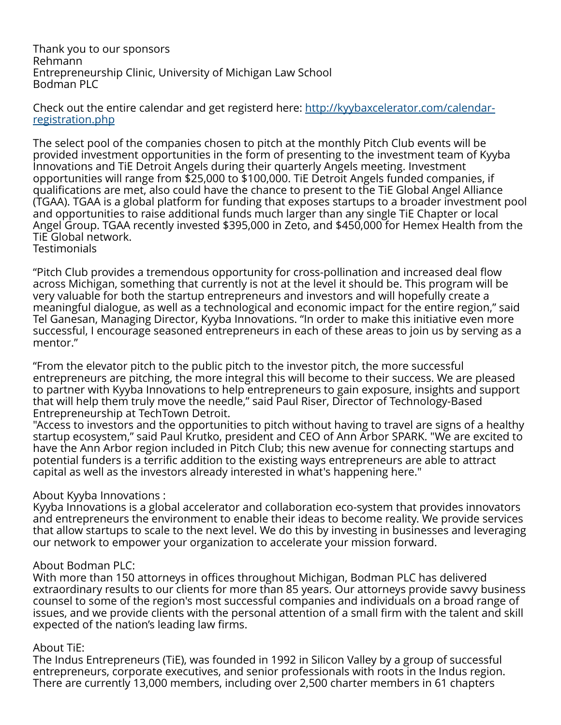Thank you to our sponsors Rehmann Entrepreneurship Clinic, University of Michigan Law School Bodman PLC

Check out the entire calendar and get registerd here: [http://kyybaxcelerator.com/calendar](http://kyybaxcelerator.com/calendar-registration.php)[registration.php](http://kyybaxcelerator.com/calendar-registration.php)

The select pool of the companies chosen to pitch at the monthly Pitch Club events will be provided investment opportunities in the form of presenting to the investment team of Kyyba Innovations and TiE Detroit Angels during their quarterly Angels meeting. Investment opportunities will range from \$25,000 to \$100,000. TiE Detroit Angels funded companies, if qualifications are met, also could have the chance to present to the TiE Global Angel Alliance (TGAA). TGAA is a global platform for funding that exposes startups to a broader investment pool and opportunities to raise additional funds much larger than any single TiE Chapter or local Angel Group. TGAA recently invested \$395,000 in Zeto, and \$450,000 for Hemex Health from the TiE Global network. **Testimonials** 

"Pitch Club provides a tremendous opportunity for cross-pollination and increased deal flow across Michigan, something that currently is not at the level it should be. This program will be very valuable for both the startup entrepreneurs and investors and will hopefully create a meaningful dialogue, as well as a technological and economic impact for the entire region," said Tel Ganesan, Managing Director, Kyyba Innovations. "In order to make this initiative even more successful, I encourage seasoned entrepreneurs in each of these areas to join us by serving as a mentor."

"From the elevator pitch to the public pitch to the investor pitch, the more successful entrepreneurs are pitching, the more integral this will become to their success. We are pleased to partner with Kyyba Innovations to help entrepreneurs to gain exposure, insights and support that will help them truly move the needle," said Paul Riser, Director of Technology-Based Entrepreneurship at TechTown Detroit.

"Access to investors and the opportunities to pitch without having to travel are signs of a healthy startup ecosystem," said Paul Krutko, president and CEO of Ann Arbor SPARK. "We are excited to have the Ann Arbor region included in Pitch Club; this new avenue for connecting startups and potential funders is a terrific addition to the existing ways entrepreneurs are able to attract capital as well as the investors already interested in what's happening here."

## About Kyyba Innovations :

Kyyba Innovations is a global accelerator and collaboration eco-system that provides innovators and entrepreneurs the environment to enable their ideas to become reality. We provide services that allow startups to scale to the next level. We do this by investing in businesses and leveraging our network to empower your organization to accelerate your mission forward.

## About Bodman PLC:

With more than 150 attorneys in offices throughout Michigan, Bodman PLC has delivered extraordinary results to our clients for more than 85 years. Our attorneys provide savvy business counsel to some of the region's most successful companies and individuals on a broad range of issues, and we provide clients with the personal attention of a small firm with the talent and skill expected of the nation's leading law firms.

## About TiE:

The Indus Entrepreneurs (TiE), was founded in 1992 in Silicon Valley by a group of successful entrepreneurs, corporate executives, and senior professionals with roots in the Indus region. There are currently 13,000 members, including over 2,500 charter members in 61 chapters